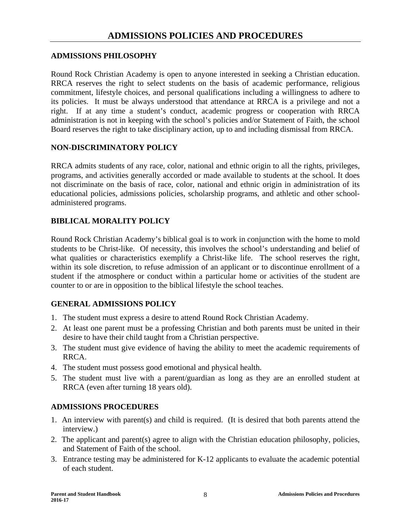### **ADMISSIONS PHILOSOPHY**

Round Rock Christian Academy is open to anyone interested in seeking a Christian education. RRCA reserves the right to select students on the basis of academic performance, religious commitment, lifestyle choices, and personal qualifications including a willingness to adhere to its policies. It must be always understood that attendance at RRCA is a privilege and not a right. If at any time a student's conduct, academic progress or cooperation with RRCA administration is not in keeping with the school's policies and/or Statement of Faith, the school Board reserves the right to take disciplinary action, up to and including dismissal from RRCA.

#### **NON-DISCRIMINATORY POLICY**

RRCA admits students of any race, color, national and ethnic origin to all the rights, privileges, programs, and activities generally accorded or made available to students at the school. It does not discriminate on the basis of race, color, national and ethnic origin in administration of its educational policies, admissions policies, scholarship programs, and athletic and other schooladministered programs.

## **BIBLICAL MORALITY POLICY**

Round Rock Christian Academy's biblical goal is to work in conjunction with the home to mold students to be Christ-like. Of necessity, this involves the school's understanding and belief of what qualities or characteristics exemplify a Christ-like life. The school reserves the right, within its sole discretion, to refuse admission of an applicant or to discontinue enrollment of a student if the atmosphere or conduct within a particular home or activities of the student are counter to or are in opposition to the biblical lifestyle the school teaches.

## **GENERAL ADMISSIONS POLICY**

- 1. The student must express a desire to attend Round Rock Christian Academy.
- 2. At least one parent must be a professing Christian and both parents must be united in their desire to have their child taught from a Christian perspective.
- 3. The student must give evidence of having the ability to meet the academic requirements of RRCA.
- 4. The student must possess good emotional and physical health.
- 5. The student must live with a parent/guardian as long as they are an enrolled student at RRCA (even after turning 18 years old).

## **ADMISSIONS PROCEDURES**

- 1. An interview with parent(s) and child is required. (It is desired that both parents attend the interview.)
- 2. The applicant and parent(s) agree to align with the Christian education philosophy, policies, and Statement of Faith of the school.
- 3. Entrance testing may be administered for K-12 applicants to evaluate the academic potential of each student.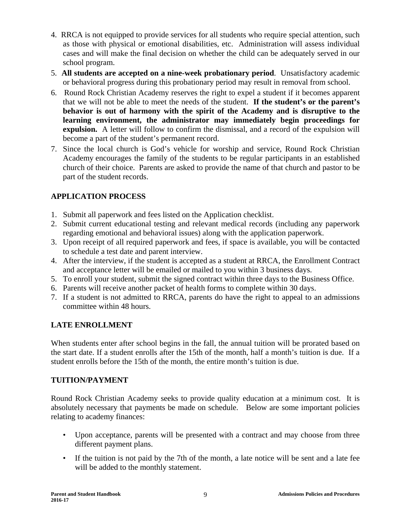- 4. RRCA is not equipped to provide services for all students who require special attention, such as those with physical or emotional disabilities, etc. Administration will assess individual cases and will make the final decision on whether the child can be adequately served in our school program.
- 5. **All students are accepted on a nine-week probationary period**. Unsatisfactory academic or behavioral progress during this probationary period may result in removal from school.
- 6. Round Rock Christian Academy reserves the right to expel a student if it becomes apparent that we will not be able to meet the needs of the student. **If the student's or the parent's behavior is out of harmony with the spirit of the Academy and is disruptive to the learning environment, the administrator may immediately begin proceedings for expulsion.** A letter will follow to confirm the dismissal, and a record of the expulsion will become a part of the student's permanent record.
- 7. Since the local church is God's vehicle for worship and service, Round Rock Christian Academy encourages the family of the students to be regular participants in an established church of their choice. Parents are asked to provide the name of that church and pastor to be part of the student records.

## **APPLICATION PROCESS**

- 1. Submit all paperwork and fees listed on the Application checklist.
- 2. Submit current educational testing and relevant medical records (including any paperwork regarding emotional and behavioral issues) along with the application paperwork.
- 3. Upon receipt of all required paperwork and fees, if space is available, you will be contacted to schedule a test date and parent interview.
- 4. After the interview, if the student is accepted as a student at RRCA, the Enrollment Contract and acceptance letter will be emailed or mailed to you within 3 business days.
- 5. To enroll your student, submit the signed contract within three days to the Business Office.
- 6. Parents will receive another packet of health forms to complete within 30 days.
- 7. If a student is not admitted to RRCA, parents do have the right to appeal to an admissions committee within 48 hours.

# **LATE ENROLLMENT**

When students enter after school begins in the fall, the annual tuition will be prorated based on the start date. If a student enrolls after the 15th of the month, half a month's tuition is due. If a student enrolls before the 15th of the month, the entire month's tuition is due.

## **TUITION/PAYMENT**

Round Rock Christian Academy seeks to provide quality education at a minimum cost. It is absolutely necessary that payments be made on schedule. Below are some important policies relating to academy finances:

- Upon acceptance, parents will be presented with a contract and may choose from three different payment plans.
- If the tuition is not paid by the 7th of the month, a late notice will be sent and a late fee will be added to the monthly statement.